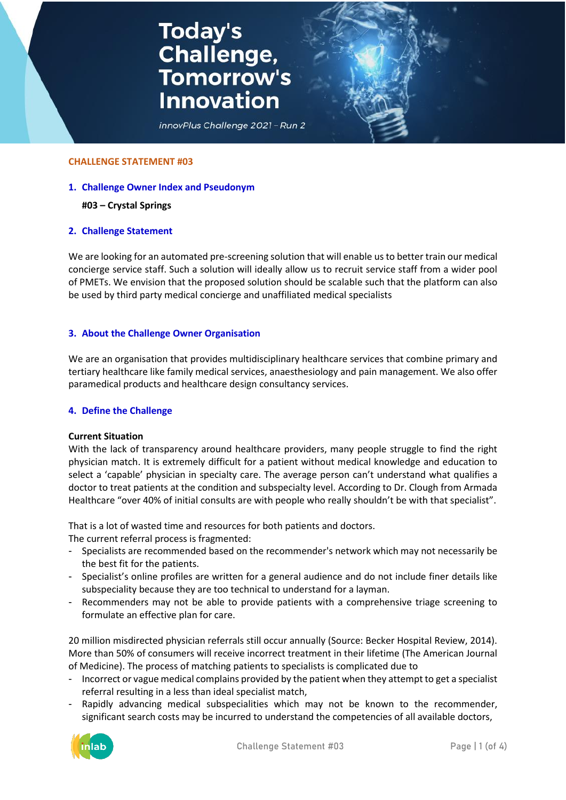# **Today's<br>Challenge,<br>Tomorrow's Innovation**

innovPlus Challenge 2021 - Run 2

#### **CHALLENGE STATEMENT #03**

**1. Challenge Owner Index and Pseudonym**

#### **#03 – Crystal Springs**

## **2. Challenge Statement**

We are looking for an automated pre-screening solution that will enable us to better train our medical concierge service staff. Such a solution will ideally allow us to recruit service staff from a wider pool of PMETs. We envision that the proposed solution should be scalable such that the platform can also be used by third party medical concierge and unaffiliated medical specialists

## **3. About the Challenge Owner Organisation**

We are an organisation that provides multidisciplinary healthcare services that combine primary and tertiary healthcare like family medical services, anaesthesiology and pain management. We also offer paramedical products and healthcare design consultancy services.

#### **4. Define the Challenge**

#### **Current Situation**

With the lack of transparency around healthcare providers, many people struggle to find the right physician match. It is extremely difficult for a patient without medical knowledge and education to select a 'capable' physician in specialty care. The average person can't understand what qualifies a doctor to treat patients at the condition and subspecialty level. According to Dr. Clough from Armada Healthcare "over 40% of initial consults are with people who really shouldn't be with that specialist".

That is a lot of wasted time and resources for both patients and doctors.

The current referral process is fragmented:

- Specialists are recommended based on the recommender's network which may not necessarily be the best fit for the patients.
- Specialist's online profiles are written for a general audience and do not include finer details like subspeciality because they are too technical to understand for a layman.
- Recommenders may not be able to provide patients with a comprehensive triage screening to formulate an effective plan for care.

20 million misdirected physician referrals still occur annually (Source: Becker Hospital Review, 2014). More than 50% of consumers will receive incorrect treatment in their lifetime (The American Journal of Medicine). The process of matching patients to specialists is complicated due to

- Incorrect or vague medical complains provided by the patient when they attempt to get a specialist referral resulting in a less than ideal specialist match,
- Rapidly advancing medical subspecialities which may not be known to the recommender, significant search costs may be incurred to understand the competencies of all available doctors,

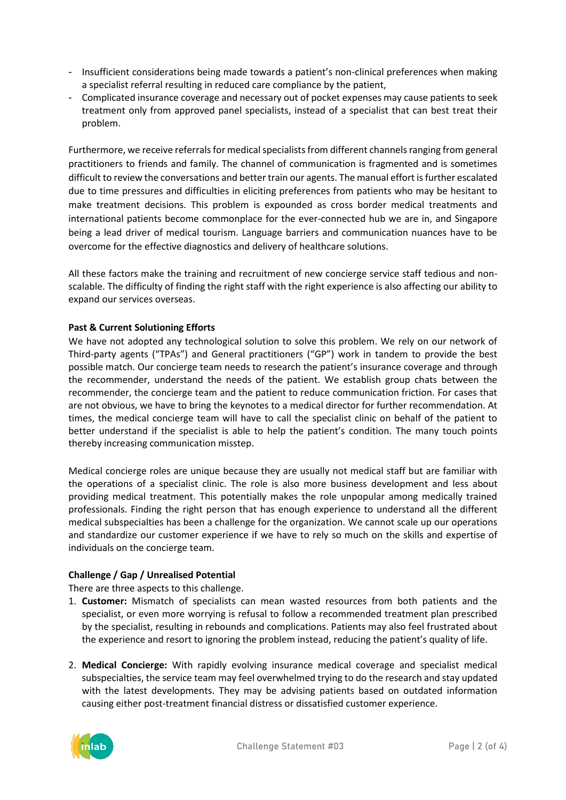- Insufficient considerations being made towards a patient's non-clinical preferences when making a specialist referral resulting in reduced care compliance by the patient,
- Complicated insurance coverage and necessary out of pocket expenses may cause patients to seek treatment only from approved panel specialists, instead of a specialist that can best treat their problem.

Furthermore, we receive referrals for medical specialists from different channels ranging from general practitioners to friends and family. The channel of communication is fragmented and is sometimes difficult to review the conversations and better train our agents. The manual effort is further escalated due to time pressures and difficulties in eliciting preferences from patients who may be hesitant to make treatment decisions. This problem is expounded as cross border medical treatments and international patients become commonplace for the ever-connected hub we are in, and Singapore being a lead driver of medical tourism. Language barriers and communication nuances have to be overcome for the effective diagnostics and delivery of healthcare solutions.

All these factors make the training and recruitment of new concierge service staff tedious and nonscalable. The difficulty of finding the right staff with the right experience is also affecting our ability to expand our services overseas.

# **Past & Current Solutioning Efforts**

We have not adopted any technological solution to solve this problem. We rely on our network of Third-party agents ("TPAs") and General practitioners ("GP") work in tandem to provide the best possible match. Our concierge team needs to research the patient's insurance coverage and through the recommender, understand the needs of the patient. We establish group chats between the recommender, the concierge team and the patient to reduce communication friction. For cases that are not obvious, we have to bring the keynotes to a medical director for further recommendation. At times, the medical concierge team will have to call the specialist clinic on behalf of the patient to better understand if the specialist is able to help the patient's condition. The many touch points thereby increasing communication misstep.

Medical concierge roles are unique because they are usually not medical staff but are familiar with the operations of a specialist clinic. The role is also more business development and less about providing medical treatment. This potentially makes the role unpopular among medically trained professionals. Finding the right person that has enough experience to understand all the different medical subspecialties has been a challenge for the organization. We cannot scale up our operations and standardize our customer experience if we have to rely so much on the skills and expertise of individuals on the concierge team.

# **Challenge / Gap / Unrealised Potential**

There are three aspects to this challenge.

- 1. **Customer:** Mismatch of specialists can mean wasted resources from both patients and the specialist, or even more worrying is refusal to follow a recommended treatment plan prescribed by the specialist, resulting in rebounds and complications. Patients may also feel frustrated about the experience and resort to ignoring the problem instead, reducing the patient's quality of life.
- 2. **Medical Concierge:** With rapidly evolving insurance medical coverage and specialist medical subspecialties, the service team may feel overwhelmed trying to do the research and stay updated with the latest developments. They may be advising patients based on outdated information causing either post-treatment financial distress or dissatisfied customer experience.

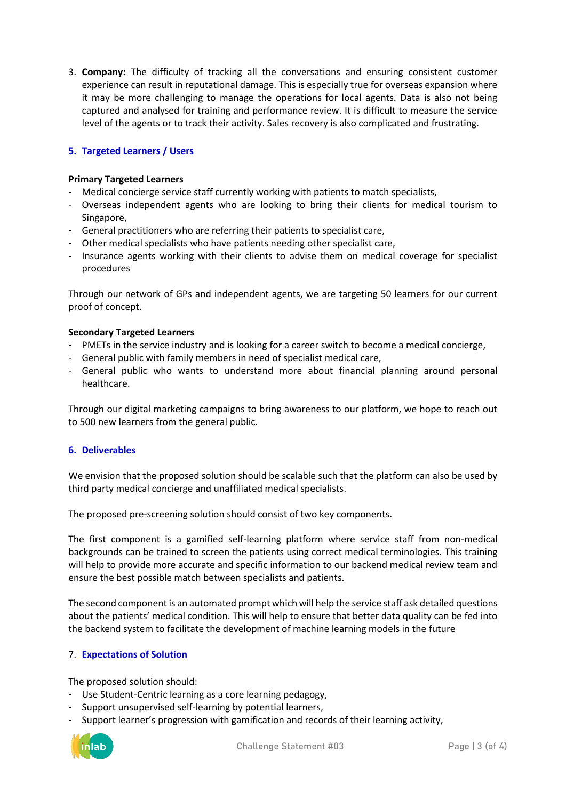3. **Company:** The difficulty of tracking all the conversations and ensuring consistent customer experience can result in reputational damage. This is especially true for overseas expansion where it may be more challenging to manage the operations for local agents. Data is also not being captured and analysed for training and performance review. It is difficult to measure the service level of the agents or to track their activity. Sales recovery is also complicated and frustrating.

# **5. Targeted Learners / Users**

# **Primary Targeted Learners**

- Medical concierge service staff currently working with patients to match specialists,
- Overseas independent agents who are looking to bring their clients for medical tourism to Singapore,
- General practitioners who are referring their patients to specialist care,
- Other medical specialists who have patients needing other specialist care,
- Insurance agents working with their clients to advise them on medical coverage for specialist procedures

Through our network of GPs and independent agents, we are targeting 50 learners for our current proof of concept.

## **Secondary Targeted Learners**

- PMETs in the service industry and is looking for a career switch to become a medical concierge,
- General public with family members in need of specialist medical care,
- General public who wants to understand more about financial planning around personal healthcare.

Through our digital marketing campaigns to bring awareness to our platform, we hope to reach out to 500 new learners from the general public.

## **6. Deliverables**

We envision that the proposed solution should be scalable such that the platform can also be used by third party medical concierge and unaffiliated medical specialists.

The proposed pre-screening solution should consist of two key components.

The first component is a gamified self-learning platform where service staff from non-medical backgrounds can be trained to screen the patients using correct medical terminologies. This training will help to provide more accurate and specific information to our backend medical review team and ensure the best possible match between specialists and patients.

The second component is an automated prompt which will help the service staff ask detailed questions about the patients' medical condition. This will help to ensure that better data quality can be fed into the backend system to facilitate the development of machine learning models in the future

# 7. **Expectations of Solution**

The proposed solution should:

- Use Student-Centric learning as a core learning pedagogy,
- Support unsupervised self-learning by potential learners,
- Support learner's progression with gamification and records of their learning activity,